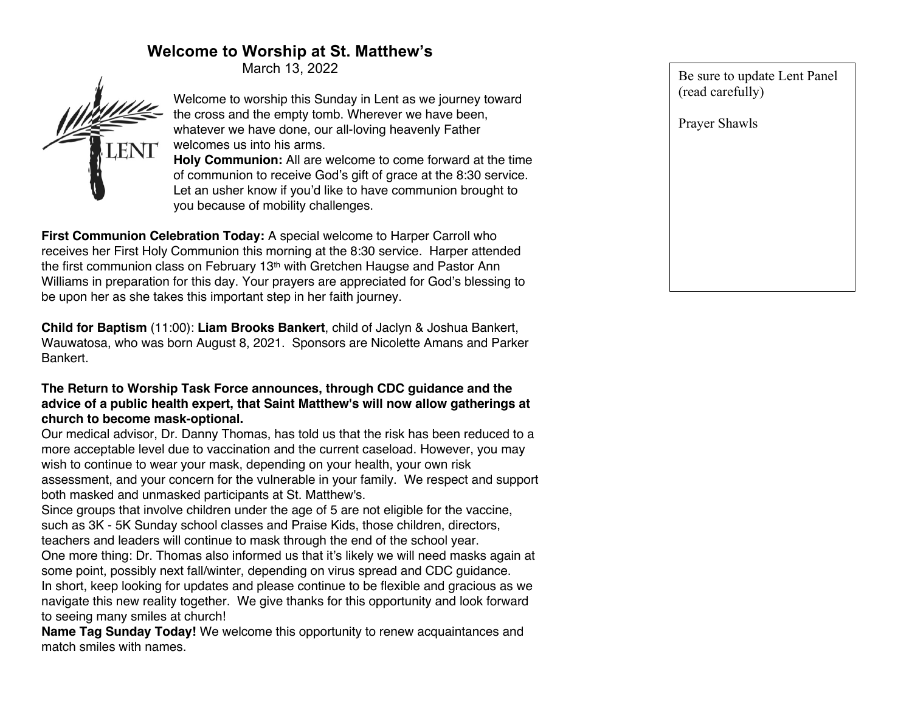# **Welcome to Worship at St. Matthew's**

March 13, 2022



Welcome to worship this Sunday in Lent as we journey toward the cross and the empty tomb. Wherever we have been, whatever we have done, our all-loving heavenly Father welcomes us into his arms.

**Holy Communion:** All are welcome to come forward at the time of communion to receive God's gift of grace at the 8:30 service. Let an usher know if you'd like to have communion brought to you because of mobility challenges.

**First Communion Celebration Today:** A special welcome to Harper Carroll who receives her First Holy Communion this morning at the 8:30 service. Harper attended the first communion class on February 13<sup>th</sup> with Gretchen Haugse and Pastor Ann Williams in preparation for this day. Your prayers are appreciated for God's blessing to be upon her as she takes this important step in her faith journey.

**Child for Baptism** (11:00): **Liam Brooks Bankert**, child of Jaclyn & Joshua Bankert, Wauwatosa, who was born August 8, 2021. Sponsors are Nicolette Amans and Parker Bankert.

# **The Return to Worship Task Force announces, through CDC guidance and the advice of a public health expert, that Saint Matthew's will now allow gatherings at church to become mask-optional.**

Our medical advisor, Dr. Danny Thomas, has told us that the risk has been reduced to a more acceptable level due to vaccination and the current caseload. However, you may wish to continue to wear your mask, depending on your health, your own risk assessment, and your concern for the vulnerable in your family. We respect and support both masked and unmasked participants at St. Matthew's.

Since groups that involve children under the age of 5 are not eligible for the vaccine, such as 3K - 5K Sunday school classes and Praise Kids, those children, directors, teachers and leaders will continue to mask through the end of the school year.

One more thing: Dr. Thomas also informed us that it's likely we will need masks again at some point, possibly next fall/winter, depending on virus spread and CDC guidance.

In short, keep looking for updates and please continue to be flexible and gracious as we navigate this new reality together. We give thanks for this opportunity and look forward to seeing many smiles at church!

**Name Tag Sunday Today!** We welcome this opportunity to renew acquaintances and match smiles with names.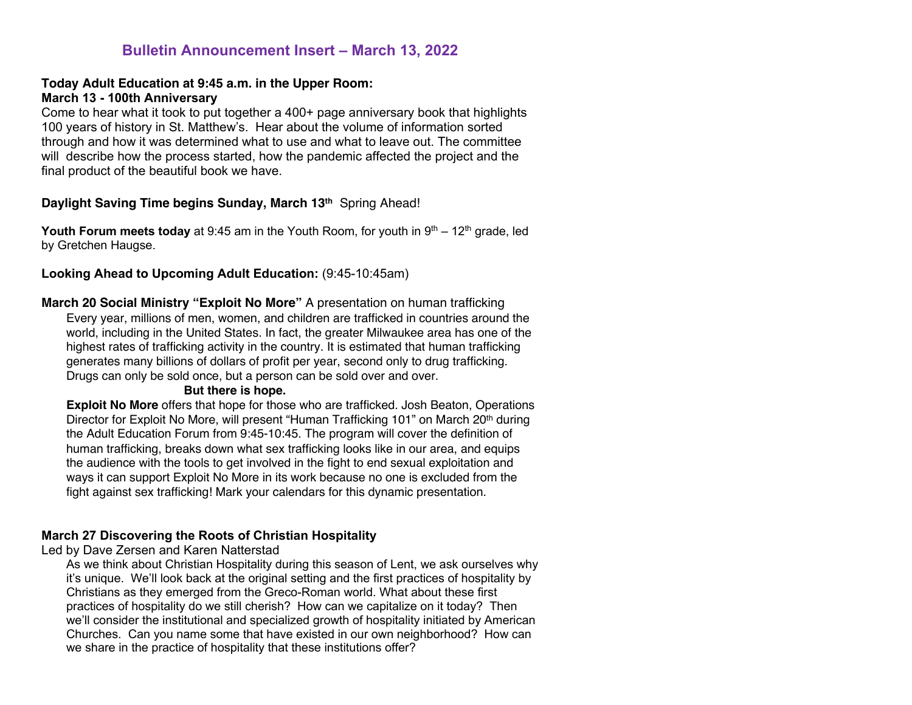# **Bulletin Announcement Insert – March 13, 2022**

#### **Today Adult Education at 9:45 a.m. in the Upper Room: March 13 - 100th Anniversary**

Come to hear what it took to put together a 400+ page anniversary book that highlights 100 years of history in St. Matthew's. Hear about the volume of information sorted through and how it was determined what to use and what to leave out. The committee will describe how the process started, how the pandemic affected the project and the final product of the beautiful book we have.

## **Daylight Saving Time begins Sunday, March 13th** Spring Ahead!

**Youth Forum meets today** at 9:45 am in the Youth Room, for youth in  $9<sup>th</sup> - 12<sup>th</sup>$  grade, led by Gretchen Haugse.

# **Looking Ahead to Upcoming Adult Education:** (9:45-10:45am)

**March 20 Social Ministry "Exploit No More"** A presentation on human trafficking Every year, millions of men, women, and children are trafficked in countries around the world, including in the United States. In fact, the greater Milwaukee area has one of the highest rates of trafficking activity in the country. It is estimated that human trafficking generates many billions of dollars of profit per year, second only to drug trafficking. Drugs can only be sold once, but a person can be sold over and over.

#### **But there is hope.**

**Exploit No More** offers that hope for those who are trafficked. Josh Beaton, Operations Director for Exploit No More, will present "Human Trafficking 101" on March 20th during the Adult Education Forum from 9:45-10:45. The program will cover the definition of human trafficking, breaks down what sex trafficking looks like in our area, and equips the audience with the tools to get involved in the fight to end sexual exploitation and ways it can support Exploit No More in its work because no one is excluded from the fight against sex trafficking! Mark your calendars for this dynamic presentation.

#### **March 27 Discovering the Roots of Christian Hospitality**

Led by Dave Zersen and Karen Natterstad

As we think about Christian Hospitality during this season of Lent, we ask ourselves why it's unique. We'll look back at the original setting and the first practices of hospitality by Christians as they emerged from the Greco-Roman world. What about these first practices of hospitality do we still cherish? How can we capitalize on it today? Then we'll consider the institutional and specialized growth of hospitality initiated by American Churches. Can you name some that have existed in our own neighborhood? How can we share in the practice of hospitality that these institutions offer?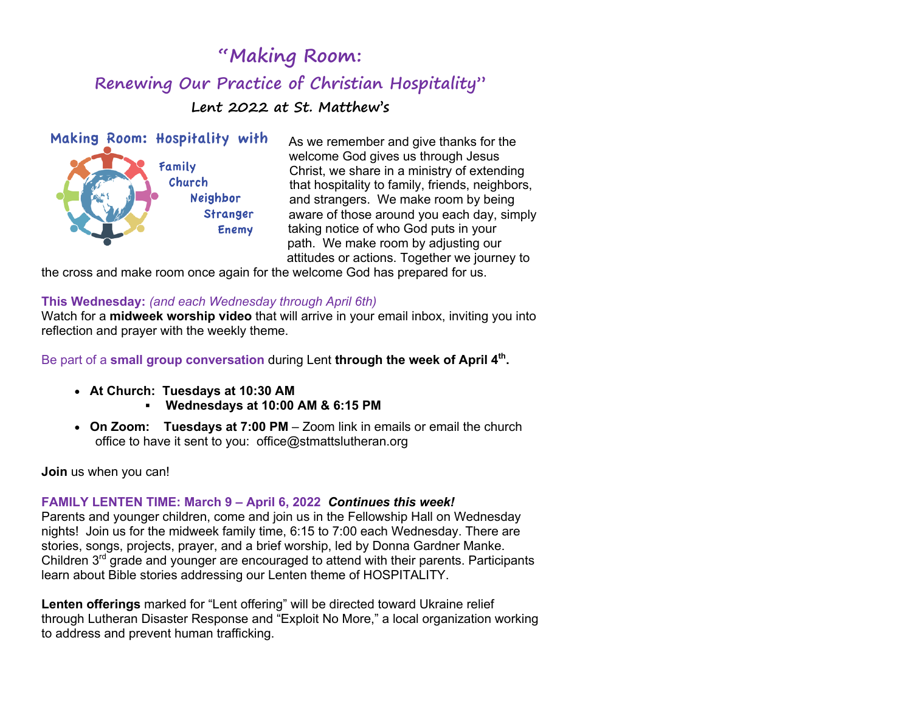# **"Making Room: Renewing Our Practice of Christian Hospitality" Lent 2022 at St. Matthew's**



As we remember and give thanks for the welcome God gives us through Jesus Christ, we share in a ministry of extending that hospitality to family, friends, neighbors, and strangers. We make room by being aware of those around you each day, simply taking notice of who God puts in your path. We make room by adjusting our attitudes or actions. Together we journey to

the cross and make room once again for the welcome God has prepared for us.

## **This Wednesday:** *(and each Wednesday through April 6th)*

Watch for a **midweek worship video** that will arrive in your email inbox, inviting you into reflection and prayer with the weekly theme.

Be part of a small group conversation during Lent through the week of April 4<sup>th</sup>.

- • **At Church: Tuesdays at 10:30 AM**
	- § **Wednesdays at 10:00 AM & 6:15 PM**
- • **On Zoom: Tuesdays at 7:00 PM** Zoom link in emails or email the church office to have it sent to you: office@stmattslutheran.org

**Join** us when you can!

# **FAMILY LENTEN TIME: March 9 – April 6, 2022** *Continues this week!*

Parents and younger children, come and join us in the Fellowship Hall on Wednesday nights! Join us for the midweek family time, 6:15 to 7:00 each Wednesday. There are stories, songs, projects, prayer, and a brief worship, led by Donna Gardner Manke. Children 3<sup>rd</sup> grade and younger are encouraged to attend with their parents. Participants learn about Bible stories addressing our Lenten theme of HOSPITALITY.

**Lenten offerings** marked for "Lent offering" will be directed toward Ukraine relief through Lutheran Disaster Response and "Exploit No More," a local organization working to address and prevent human trafficking.